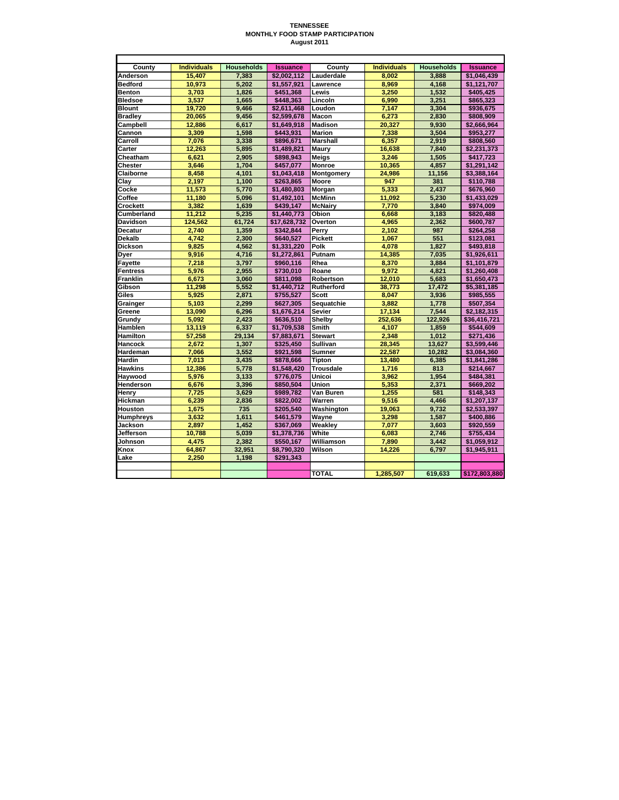## **TENNESSEE MONTHLY FOOD STAMP PARTICIPATION August 2011**

| County          | <b>Individuals</b> | <b>Households</b> | <b>Issuance</b> | County           | <b>Individuals</b> | <b>Households</b> | <b>Issuance</b> |
|-----------------|--------------------|-------------------|-----------------|------------------|--------------------|-------------------|-----------------|
| Anderson        | 15.407             | 7.383             | \$2.002.112     | Lauderdale       | 8.002              | 3.888             | \$1.046.439     |
| <b>Bedford</b>  | 10.973             | 5.202             | \$1.557.921     | Lawrence         | 8.969              | 4.168             | \$1,121,707     |
| <b>Benton</b>   | 3,703              | 1,826             | \$451,368       | Lewis            | 3,250              | 1,532             | \$405,425       |
| <b>Bledsoe</b>  | 3.537              | 1.665             | \$448.363       | Lincoln          | 6.990              | 3.251             | \$865,323       |
| Blount          | 19.720             | 9,466             | \$2.611.468     | Loudon           | 7,147              | 3.304             | \$936,675       |
| <b>Bradley</b>  | 20,065             | 9.456             | \$2,599,678     | Macon            | 6,273              | 2.830             | \$808,909       |
| Campbell        | 12,886             | 6,617             | \$1,649,918     | <b>Madison</b>   | 20,327             | 9,930             | \$2,666,964     |
| Cannon          | 3.309              | 1,598             | \$443.931       | <b>Marion</b>    | 7,338              | 3,504             | \$953.277       |
| Carroll         | 7,076              | 3,338             | \$896,671       | <b>Marshall</b>  | 6,357              | 2,919             | \$808,560       |
| Carter          | 12.263             | 5,895             | \$1.489.821     | <b>Maurv</b>     | 16.638             | 7.840             | \$2.231.373     |
| Cheatham        | 6,621              | 2,905             | \$898,943       | Meigs            | 3,246              | 1,505             | \$417,723       |
| Chester         | 3,646              | 1,704             | \$457,077       | <b>Monroe</b>    | 10,365             | 4,857             | \$1,291,142     |
| Claiborne       | 8.458              | 4.101             | \$1.043.418     | Montgomery       | 24.986             | 11.156            | \$3.388.164     |
| Clav            | 2,197              | 1,100             | \$263,865       | Moore            | 947                | 381               | \$110,788       |
| Cocke           | 11,573             | 5.770             | \$1,480,803     | Morgan           | 5.333              | 2,437             | \$676,960       |
| Coffee          | 11,180             | 5,096             | \$1,492,101     | <b>McMinn</b>    | 11,092             | 5,230             | \$1,433,029     |
| Crockett        | 3,382              | 1,639             | \$439.147       | <b>McNairy</b>   | 7,770              | 3,840             | \$974,009       |
| Cumberland      | 11,212             | 5,235             | \$1,440,773     | Obion            | 6,668              | 3,183             | \$820,488       |
| Davidson        | 124.562            | 61.724            | \$17.628.732    | Overton          | 4.965              | 2,362             | \$600.787       |
| Decatur         | 2,740              | 1,359             | \$342,844       | Perry            | 2,102              | 987               | \$264,258       |
| Dekalb          | 4,742              | 2,300             | \$640,527       | <b>Pickett</b>   | 1,067              | 551               | \$123,081       |
| Dickson         | 9.825              | 4.562             | \$1.331.220     | Polk             | 4.078              | 1.827             | \$493.818       |
| Dyer            | 9,916              | 4,716             | \$1,272,861     | Putnam           | 14,385             | 7,035             | \$1,926,611     |
| Fayette         | 7.218              | 3.797             | \$960.116       | Rhea             | 8,370              | 3.884             | \$1,101,879     |
| <b>Fentress</b> | 5,976              | 2.955             | \$730,010       | Roane            | 9,972              | 4,821             | \$1,260,408     |
| Franklin        | 6,673              | 3,060             | \$811.098       | Robertson        | 12,010             | 5,683             | \$1,650,473     |
| Gibson          | 11,298             | 5,552             | \$1,440,712     | Rutherford       | 38,773             | 17,472            | \$5,381,185     |
| Giles           | 5.925              | 2.871             | \$755.527       | <b>Scott</b>     | 8.047              | 3.936             | \$985.555       |
| Grainger        | 5,103              | 2,299             | \$627,305       | Sequatchie       | 3,882              | 1,778             | \$507,354       |
| Greene          | 13,090             | 6,296             | \$1,676,214     | <b>Sevier</b>    | 17,134             | 7,544             | \$2,182,315     |
| Grundv          | 5.092              | 2.423             | \$636.510       | Shelby           | 252.636            | 122.926           | \$36.416.721    |
| Hamblen         | 13,119             | 6,337             | \$1,709,538     | Smith            | 4,107              | 1,859             | \$544,609       |
| Hamilton        | 57,258             | 29.134            | \$7,883,671     | <b>Stewart</b>   | 2.348              | 1.012             | \$271,436       |
| Hancock         | 2,672              | 1,307             | \$325,450       | Sullivan         | 28,345             | 13,627            | \$3,599,446     |
| Hardeman        | 7,066              | 3,552             | \$921,598       | Sumner           | 22,587             | 10,282            | \$3,084,360     |
| Hardin          | 7.013              | 3,435             | \$878,666       | Tipton           | 13,480             | 6,385             | \$1,841,286     |
| Hawkins         | 12.386             | 5.778             | \$1.548.420     | <b>Trousdale</b> | 1.716              | 813               | \$214.667       |
| Haywood         | 5,976              | 3,133             | \$776,075       | Unicoi           | 3,962              | 1,954             | \$484,381       |
| Henderson       | 6,676              | 3,396             | \$850,504       | Union            | 5,353              | 2,371             | \$669,202       |
| Henrv           | 7,725              | 3.629             | \$989.782       | Van Buren        | 1.255              | 581               | \$148.343       |
| Hickman         | 6,239              | 2,836             | \$822,002       | Warren           | 9,516              | 4,466             | \$1,207,137     |
| Houston         | 1.675              | 735               | \$205.540       | Washington       | 19,063             | 9.732             | \$2,533,397     |
| Humphreys       | 3,632              | 1,611             | \$461,579       | Wayne            | 3,298              | 1,587             | \$400,886       |
| Jackson         | 2,897              | 1,452             | \$367,069       | Weaklev          | 7,077              | 3,603             | \$920,559       |
| Jefferson       | 10,788             | 5,039             | \$1,378,736     | White            | 6,083              | 2.746             | \$755,434       |
| Johnson         | 4,475              | 2,382             | \$550,167       | Williamson       | 7,890              | 3,442             | \$1,059,912     |
| Knox            | 64,867             | 32,951            | \$8,790,320     | Wilson           | 14,226             | 6,797             | \$1,945,911     |
| Lake            | 2.250              | 1.198             | \$291.343       |                  |                    |                   |                 |
|                 |                    |                   |                 |                  |                    |                   |                 |
|                 |                    |                   |                 | <b>TOTAL</b>     | 1.285.507          | 619.633           | \$172,803,880   |